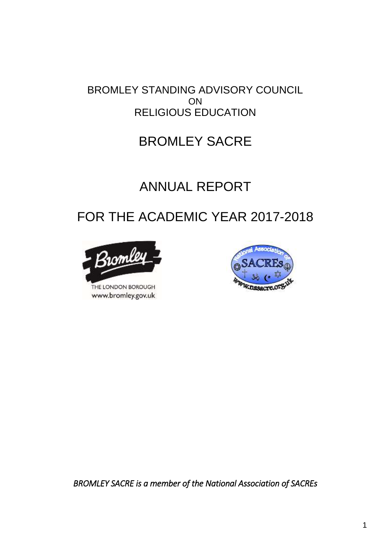## BROMLEY STANDING ADVISORY COUNCIL ON RELIGIOUS EDUCATION

## BROMLEY SACRE

# ANNUAL REPORT

# FOR THE ACADEMIC YEAR 2017-2018



THE LONDON BOROUGH www.bromley.gov.uk



*BROMLEY SACRE is a member of the National Association of SACREs*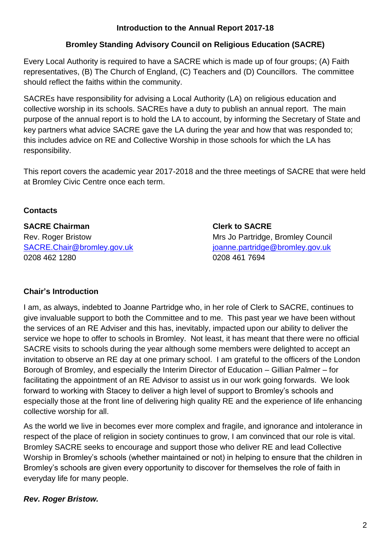#### **Introduction to the Annual Report 2017-18**

## **Bromley Standing Advisory Council on Religious Education (SACRE)**

Every Local Authority is required to have a SACRE which is made up of four groups; (A) Faith representatives, (B) The Church of England, (C) Teachers and (D) Councillors. The committee should reflect the faiths within the community.

SACREs have responsibility for advising a Local Authority (LA) on religious education and collective worship in its schools. SACREs have a duty to publish an annual report. The main purpose of the annual report is to hold the LA to account, by informing the Secretary of State and key partners what advice SACRE gave the LA during the year and how that was responded to; this includes advice on RE and Collective Worship in those schools for which the LA has responsibility.

This report covers the academic year 2017-2018 and the three meetings of SACRE that were held at Bromley Civic Centre once each term.

### **Contacts**

## **SACRE Chairman Clerk to SACRE**  Rev. Roger Bristow Mrs Jo Partridge, Bromley Council [SACRE.Chair@bromley.gov.uk](mailto:SACRE.Chair@bromley.gov.uk) [joanne.partridge@bromley.gov.uk](mailto:joanne.partridge@bromley.gov.uk) 0208 462 1280 0208 461 7694

## **Chair's Introduction**

I am, as always, indebted to Joanne Partridge who, in her role of Clerk to SACRE, continues to give invaluable support to both the Committee and to me. This past year we have been without the services of an RE Adviser and this has, inevitably, impacted upon our ability to deliver the service we hope to offer to schools in Bromley. Not least, it has meant that there were no official SACRE visits to schools during the year although some members were delighted to accept an invitation to observe an RE day at one primary school. I am grateful to the officers of the London Borough of Bromley, and especially the Interim Director of Education – Gillian Palmer – for facilitating the appointment of an RE Advisor to assist us in our work going forwards. We look forward to working with Stacey to deliver a high level of support to Bromley's schools and especially those at the front line of delivering high quality RE and the experience of life enhancing collective worship for all.

As the world we live in becomes ever more complex and fragile, and ignorance and intolerance in respect of the place of religion in society continues to grow, I am convinced that our role is vital. Bromley SACRE seeks to encourage and support those who deliver RE and lead Collective Worship in Bromley's schools (whether maintained or not) in helping to ensure that the children in Bromley's schools are given every opportunity to discover for themselves the role of faith in everyday life for many people.

## *Rev. Roger Bristow.*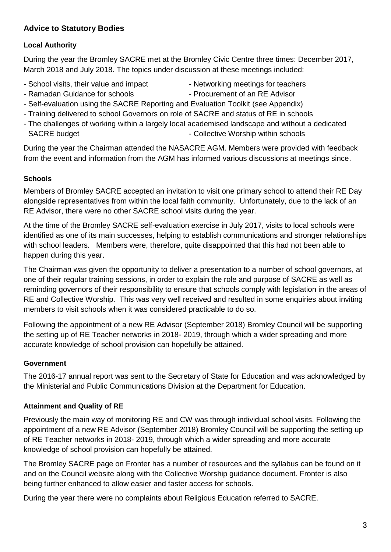### **Advice to Statutory Bodies**

#### **Local Authority**

During the year the Bromley SACRE met at the Bromley Civic Centre three times: December 2017, March 2018 and July 2018. The topics under discussion at these meetings included:

- School visits, their value and impact Networking meetings for teachers
	-
- Ramadan Guidance for schools  **Procurement of an RE Advisor**
- 
- Self-evaluation using the SACRE Reporting and Evaluation Toolkit (see Appendix)
- Training delivered to school Governors on role of SACRE and status of RE in schools
- The challenges of working within a largely local academised landscape and without a dedicated SACRE budget  $\overline{\phantom{a}}$  - Collective Worship within schools

During the year the Chairman attended the NASACRE AGM. Members were provided with feedback from the event and information from the AGM has informed various discussions at meetings since.

#### **Schools**

Members of Bromley SACRE accepted an invitation to visit one primary school to attend their RE Day alongside representatives from within the local faith community. Unfortunately, due to the lack of an RE Advisor, there were no other SACRE school visits during the year.

At the time of the Bromley SACRE self-evaluation exercise in July 2017, visits to local schools were identified as one of its main successes, helping to establish communications and stronger relationships with school leaders. Members were, therefore, quite disappointed that this had not been able to happen during this year.

The Chairman was given the opportunity to deliver a presentation to a number of school governors, at one of their regular training sessions, in order to explain the role and purpose of SACRE as well as reminding governors of their responsibility to ensure that schools comply with legislation in the areas of RE and Collective Worship. This was very well received and resulted in some enquiries about inviting members to visit schools when it was considered practicable to do so.

Following the appointment of a new RE Advisor (September 2018) Bromley Council will be supporting the setting up of RE Teacher networks in 2018- 2019, through which a wider spreading and more accurate knowledge of school provision can hopefully be attained.

#### **Government**

The 2016-17 annual report was sent to the Secretary of State for Education and was acknowledged by the Ministerial and Public Communications Division at the Department for Education.

#### **Attainment and Quality of RE**

Previously the main way of monitoring RE and CW was through individual school visits. Following the appointment of a new RE Advisor (September 2018) Bromley Council will be supporting the setting up of RE Teacher networks in 2018- 2019, through which a wider spreading and more accurate knowledge of school provision can hopefully be attained.

The Bromley SACRE page on Fronter has a number of resources and the syllabus can be found on it and on the Council website along with the Collective Worship guidance document. Fronter is also being further enhanced to allow easier and faster access for schools.

During the year there were no complaints about Religious Education referred to SACRE.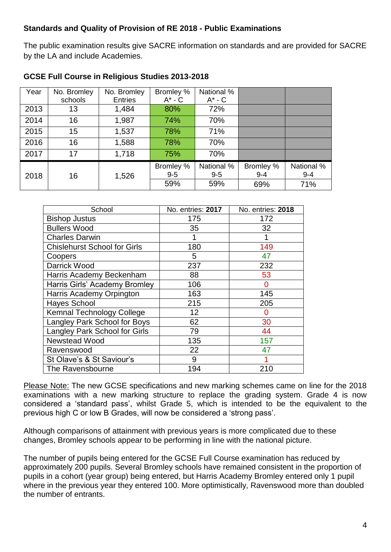#### **Standards and Quality of Provision of RE 2018 - Public Examinations**

The public examination results give SACRE information on standards and are provided for SACRE by the LA and include Academies.

| Year | No. Bromley | No. Bromley    | Bromley %   | National %  |           |            |
|------|-------------|----------------|-------------|-------------|-----------|------------|
|      | schools     | <b>Entries</b> | $A^*$ - $C$ | $A^*$ - $C$ |           |            |
| 2013 | 13          | 1,484          | 80%         | 72%         |           |            |
| 2014 | 16          | 1,987          | 74%         | 70%         |           |            |
| 2015 | 15          | 1,537          | 78%         | 71%         |           |            |
| 2016 | 16          | 1,588          | 78%         | 70%         |           |            |
| 2017 | 17          | 1,718          | 75%         | 70%         |           |            |
|      |             |                | Bromley %   | National %  | Bromley % | National % |
| 2018 | 16          | 1,526          | $9 - 5$     | $9 - 5$     | $9 - 4$   | $9 - 4$    |
|      |             |                | 59%         | 59%         | 69%       | 71%        |

#### **GCSE Full Course in Religious Studies 2013-2018**

| School                              | No. entries: 2017 | No. entries: 2018 |
|-------------------------------------|-------------------|-------------------|
| <b>Bishop Justus</b>                | 175               | 172               |
| <b>Bullers Wood</b>                 | 35                | 32                |
| <b>Charles Darwin</b>               |                   |                   |
| <b>Chislehurst School for Girls</b> | 180               | 149               |
| Coopers                             | 5                 | 47                |
| Darrick Wood                        | 237               | 232               |
| Harris Academy Beckenham            | 88                | 53                |
| Harris Girls' Academy Bromley       | 106               | O                 |
| Harris Academy Orpington            | 163               | 145               |
| <b>Hayes School</b>                 | 215               | 205               |
| <b>Kemnal Technology College</b>    | 12                | O                 |
| Langley Park School for Boys        | 62                | 30                |
| Langley Park School for Girls       | 79                | 44                |
| <b>Newstead Wood</b>                | 135               | 157               |
| Ravenswood                          | 22                | 47                |
| St Olave's & St Saviour's           | 9                 |                   |
| The Ravensbourne                    | 194               | 210               |

Please Note: The new GCSE specifications and new marking schemes came on line for the 2018 examinations with a new marking structure to replace the grading system. Grade 4 is now considered a 'standard pass', whilst Grade 5, which is intended to be the equivalent to the previous high C or low B Grades, will now be considered a 'strong pass'.

Although comparisons of attainment with previous years is more complicated due to these changes, Bromley schools appear to be performing in line with the national picture.

The number of pupils being entered for the GCSE Full Course examination has reduced by approximately 200 pupils. Several Bromley schools have remained consistent in the proportion of pupils in a cohort (year group) being entered, but Harris Academy Bromley entered only 1 pupil where in the previous year they entered 100. More optimistically, Ravenswood more than doubled the number of entrants.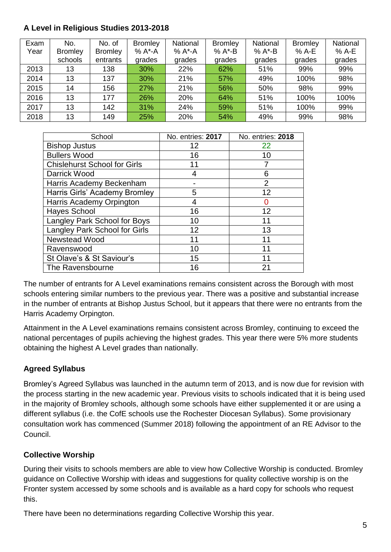## **A Level in Religious Studies 2013-2018**

| Exam | No.            | No. of         | <b>Bromley</b> | National | <b>Bromley</b> | National | <b>Bromley</b> | National |
|------|----------------|----------------|----------------|----------|----------------|----------|----------------|----------|
| Year | <b>Bromley</b> | <b>Bromley</b> | % A*-A         | % A*-A   | $% A^* - B$    | % A*-B   | % A-E          | % A-E    |
|      | schools        | entrants       | grades         | grades   | grades         | grades   | grades         | grades   |
| 2013 | 13             | 138            | 30%            | 22%      | 62%            | 51%      | 99%            | 99%      |
| 2014 | 13             | 137            | 30%            | 21%      | 57%            | 49%      | 100%           | 98%      |
| 2015 | 14             | 156            | 27%            | 21%      | 56%            | 50%      | 98%            | 99%      |
| 2016 | 13             | 177            | 26%            | 20%      | 64%            | 51%      | 100%           | 100%     |
| 2017 | 13             | 142            | 31%            | 24%      | 59%            | 51%      | 100%           | 99%      |
| 2018 | 13             | 149            | 25%            | 20%      | 54%            | 49%      | 99%            | 98%      |

| School                              | No. entries: 2017 | No. entries: 2018 |
|-------------------------------------|-------------------|-------------------|
| <b>Bishop Justus</b>                | 12                | 22                |
| <b>Bullers Wood</b>                 | 16                | 10                |
| <b>Chislehurst School for Girls</b> | 11                |                   |
| Darrick Wood                        |                   | 6                 |
| Harris Academy Beckenham            |                   | $\overline{2}$    |
| Harris Girls' Academy Bromley       | 5                 | 12                |
| Harris Academy Orpington            |                   |                   |
| <b>Hayes School</b>                 | 16                | 12                |
| Langley Park School for Boys        | 10                | 11                |
| Langley Park School for Girls       | 12                | 13                |
| <b>Newstead Wood</b>                | 11                | 11                |
| Ravenswood                          | 10                | 11                |
| St Olave's & St Saviour's           | 15                | 11                |
| The Ravensbourne                    | 16                | 21                |

The number of entrants for A Level examinations remains consistent across the Borough with most schools entering similar numbers to the previous year. There was a positive and substantial increase in the number of entrants at Bishop Justus School, but it appears that there were no entrants from the Harris Academy Orpington.

Attainment in the A Level examinations remains consistent across Bromley, continuing to exceed the national percentages of pupils achieving the highest grades. This year there were 5% more students obtaining the highest A Level grades than nationally.

## **Agreed Syllabus**

Bromley's Agreed Syllabus was launched in the autumn term of 2013, and is now due for revision with the process starting in the new academic year. Previous visits to schools indicated that it is being used in the majority of Bromley schools, although some schools have either supplemented it or are using a different syllabus (i.e. the CofE schools use the Rochester Diocesan Syllabus). Some provisionary consultation work has commenced (Summer 2018) following the appointment of an RE Advisor to the Council.

## **Collective Worship**

During their visits to schools members are able to view how Collective Worship is conducted. Bromley guidance on Collective Worship with ideas and suggestions for quality collective worship is on the Fronter system accessed by some schools and is available as a hard copy for schools who request this.

There have been no determinations regarding Collective Worship this year.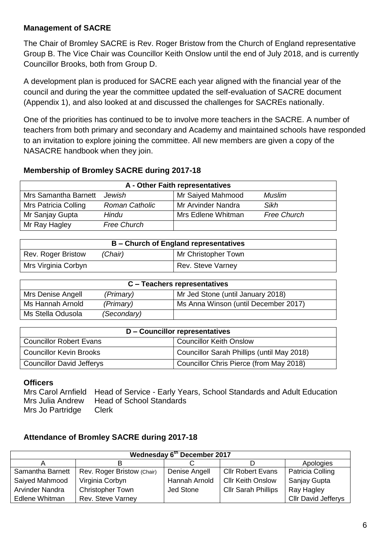#### **Management of SACRE**

The Chair of Bromley SACRE is Rev. Roger Bristow from the Church of England representative Group B. The Vice Chair was Councillor Keith Onslow until the end of July 2018, and is currently Councillor Brooks, both from Group D.

A development plan is produced for SACRE each year aligned with the financial year of the council and during the year the committee updated the self-evaluation of SACRE document (Appendix 1), and also looked at and discussed the challenges for SACREs nationally.

One of the priorities has continued to be to involve more teachers in the SACRE. A number of teachers from both primary and secondary and Academy and maintained schools have responded to an invitation to explore joining the committee. All new members are given a copy of the NASACRE handbook when they join.

#### **Membership of Bromley SACRE during 2017-18**

|                      | A - Other Faith representatives |                    |                    |  |
|----------------------|---------------------------------|--------------------|--------------------|--|
| Mrs Samantha Barnett | Jewish                          | Mr Saiyed Mahmood  | Muslim             |  |
| Mrs Patricia Colling | <b>Roman Catholic</b>           | Mr Arvinder Nandra | Sikh               |  |
| Mr Sanjay Gupta      | Hindu                           | Mrs Edlene Whitman | <b>Free Church</b> |  |
| Mr Ray Hagley        | <b>Free Church</b>              |                    |                    |  |

| <b>B</b> – Church of England representatives         |  |                   |  |
|------------------------------------------------------|--|-------------------|--|
| Mr Christopher Town<br>Rev. Roger Bristow<br>(Chair) |  |                   |  |
| Mrs Virginia Corbyn                                  |  | Rev. Steve Varney |  |

| C – Teachers representatives |             |                                      |  |
|------------------------------|-------------|--------------------------------------|--|
| Mrs Denise Angell            | (Primary)   | Mr Jed Stone (until January 2018)    |  |
| Ms Hannah Arnold             | (Primary)   | Ms Anna Winson (until December 2017) |  |
| Ms Stella Odusola            | (Secondary) |                                      |  |

|                                  | D – Councillor representatives             |
|----------------------------------|--------------------------------------------|
| <b>Councillor Robert Evans</b>   | <b>Councillor Keith Onslow</b>             |
| <b>Councillor Kevin Brooks</b>   | Councillor Sarah Phillips (until May 2018) |
| <b>Councillor David Jefferys</b> | Councillor Chris Pierce (from May 2018)    |

#### **Officers**

Mrs Carol Arnfield Head of Service - Early Years, School Standards and Adult Education Mrs Julia Andrew Head of School Standards Mrs Jo Partridge Clerk

#### **Attendance of Bromley SACRE during 2017-18**

|                  |                            | Wednesday 6th December 2017 |                            |                            |
|------------------|----------------------------|-----------------------------|----------------------------|----------------------------|
|                  |                            |                             |                            | Apologies                  |
| Samantha Barnett | Rev. Roger Bristow (Chair) | Denise Angell               | <b>Cllr Robert Evans</b>   | Patricia Colling           |
| Saiyed Mahmood   | Virginia Corbyn            | Hannah Arnold               | <b>Cllr Keith Onslow</b>   | Sanjay Gupta               |
| Arvinder Nandra  | <b>Christopher Town</b>    | Jed Stone                   | <b>Cllr Sarah Phillips</b> | Ray Hagley                 |
| Edlene Whitman   | <b>Rev. Steve Varney</b>   |                             |                            | <b>Cllr David Jefferys</b> |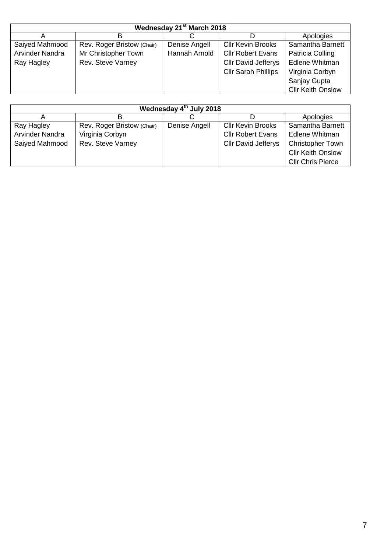|                 |                            | Wednesday 21 <sup>st</sup> March 2018 |                            |                          |
|-----------------|----------------------------|---------------------------------------|----------------------------|--------------------------|
|                 |                            |                                       |                            | Apologies                |
| Saiyed Mahmood  | Rev. Roger Bristow (Chair) | Denise Angell                         | <b>Cllr Kevin Brooks</b>   | Samantha Barnett         |
| Arvinder Nandra | Mr Christopher Town        | Hannah Arnold                         | <b>Cllr Robert Evans</b>   | Patricia Colling         |
| Ray Hagley      | Rev. Steve Varney          |                                       | <b>Cllr David Jefferys</b> | Edlene Whitman           |
|                 |                            |                                       | <b>Cllr Sarah Phillips</b> | Virginia Corbyn          |
|                 |                            |                                       |                            | Sanjay Gupta             |
|                 |                            |                                       |                            | <b>Cllr Keith Onslow</b> |

|                 |                            | Wednesday 4th July 2018 |                            |                          |
|-----------------|----------------------------|-------------------------|----------------------------|--------------------------|
|                 |                            |                         |                            | Apologies                |
| Ray Hagley      | Rev. Roger Bristow (Chair) | Denise Angell           | <b>Cllr Kevin Brooks</b>   | Samantha Barnett         |
| Arvinder Nandra | Virginia Corbyn            |                         | <b>Cllr Robert Evans</b>   | Edlene Whitman           |
| Saiyed Mahmood  | Rev. Steve Varney          |                         | <b>Cllr David Jefferys</b> | <b>Christopher Town</b>  |
|                 |                            |                         |                            | <b>Cllr Keith Onslow</b> |
|                 |                            |                         |                            | <b>Cllr Chris Pierce</b> |